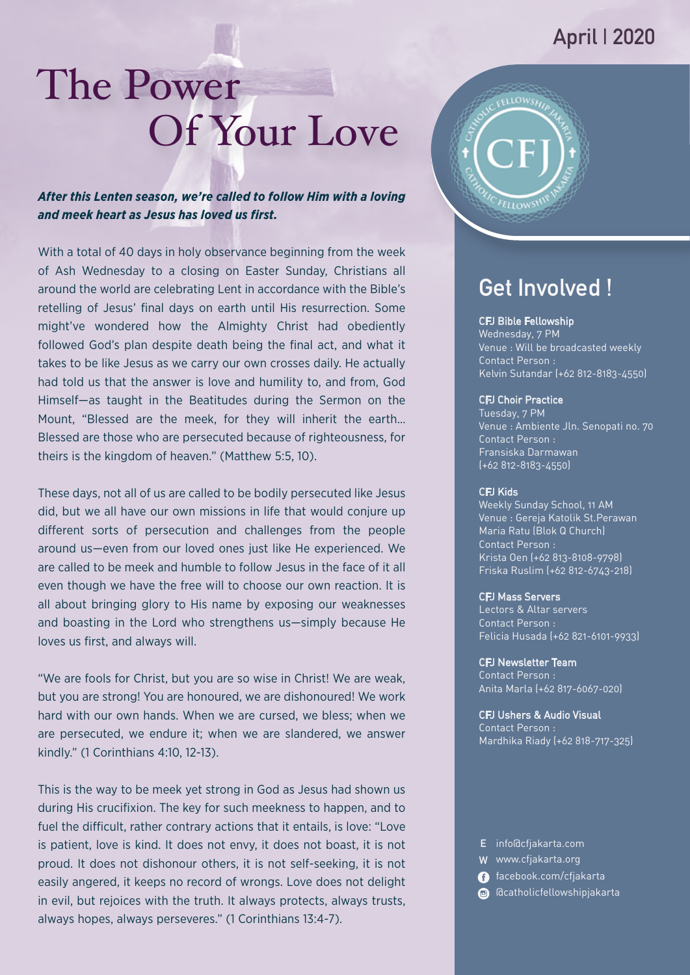### **April | 2020**

# The Power Of Your Love

*After this Lenten season, we're called to follow Him with a loving and meek heart as Jesus has loved us first.*

With a total of 40 days in holy observance beginning from the week of Ash Wednesday to a closing on Easter Sunday, Christians all around the world are celebrating Lent in accordance with the Bible's retelling of Jesus' final days on earth until His resurrection. Some might've wondered how the Almighty Christ had obediently followed God's plan despite death being the final act, and what it takes to be like Jesus as we carry our own crosses daily. He actually had told us that the answer is love and humility to, and from, God Himself—as taught in the Beatitudes during the Sermon on the Mount, "Blessed are the meek, for they will inherit the earth… Blessed are those who are persecuted because of righteousness, for theirs is the kingdom of heaven." (Matthew 5:5, 10).

These days, not all of us are called to be bodily persecuted like Jesus did, but we all have our own missions in life that would conjure up different sorts of persecution and challenges from the people around us—even from our loved ones just like He experienced. We are called to be meek and humble to follow Jesus in the face of it all even though we have the free will to choose our own reaction. It is all about bringing glory to His name by exposing our weaknesses and boasting in the Lord who strengthens us—simply because He loves us first, and always will.

"We are fools for Christ, but you are so wise in Christ! We are weak, but you are strong! You are honoured, we are dishonoured! We work hard with our own hands. When we are cursed, we bless; when we are persecuted, we endure it; when we are slandered, we answer kindly." (1 Corinthians 4:10, 12-13).

This is the way to be meek yet strong in God as Jesus had shown us during His crucifixion. The key for such meekness to happen, and to fuel the difficult, rather contrary actions that it entails, is love: "Love is patient, love is kind. It does not envy, it does not boast, it is not proud. It does not dishonour others, it is not self-seeking, it is not easily angered, it keeps no record of wrongs. Love does not delight in evil, but rejoices with the truth. It always protects, always trusts, always hopes, always perseveres." (1 Corinthians 13:4-7).



## **Get Involved !**

#### CFJ Bible Fellowship

Wednesday, 7 PM Venue : Will be broadcasted weekly Contact Person : Kelvin Sutandar (+62 812-8183-4550)

#### CFJ Choir Practice

Tuesday, 7 PM Venue : Ambiente Jln. Senopati no. 70 Contact Person : Fransiska Darmawan (+62 812-8183-4550)

#### CFJ Kids

Weekly Sunday School, 11 AM Venue : Gereja Katolik St.Perawan Contact Person : Krista Oen (+62 813-8108-9798) Friska Ruslim (+62 812-6743-218) Maria Ratu (Blok Q Church)

#### CFJ Mass Servers

Lectors & Altar servers Contact Person : Felicia Husada (+62 821-6101-9933)

#### CFJ Newsletter Team

Contact Person : Anita Marla (+62 817-6067-020)

#### CFJ Ushers & Audio Visual

Contact Person : Mardhika Riady (+62 818-717-325)

#### **E** info@cfjakarta.com

- **W** www.cfjakarta.org
- facebook.com/cfjakarta
- @catholicfellowshipjakarta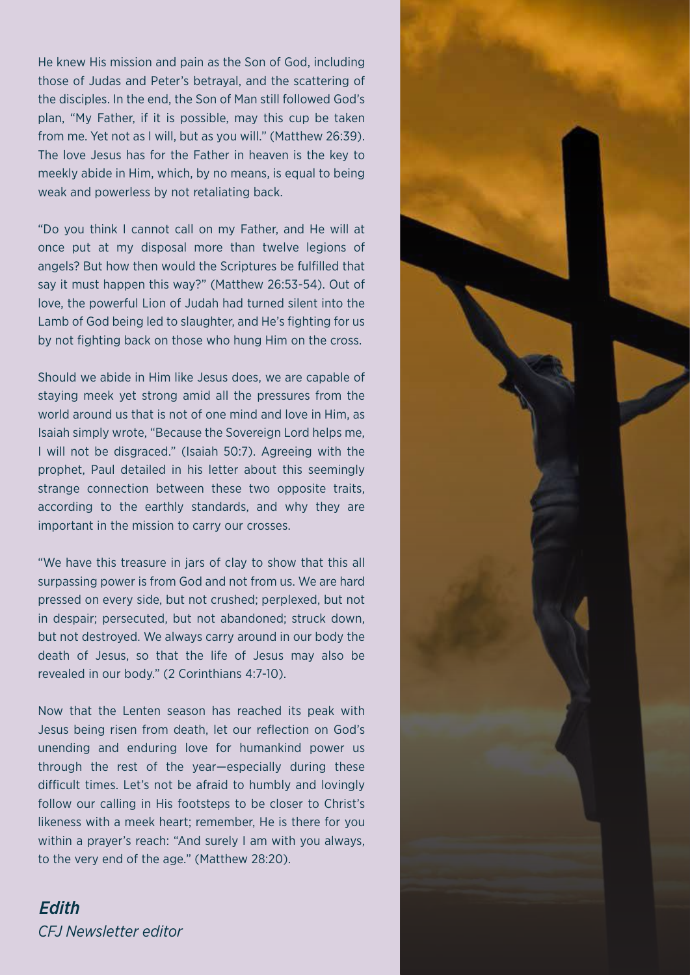He knew His mission and pain as the Son of God, including those of Judas and Peter's betrayal, and the scattering of the disciples. In the end, the Son of Man still followed God's plan, "My Father, if it is possible, may this cup be taken from me. Yet not as I will, but as you will." (Matthew 26:39). The love Jesus has for the Father in heaven is the key to meekly abide in Him, which, by no means, is equal to being weak and powerless by not retaliating back.

"Do you think I cannot call on my Father, and He will at once put at my disposal more than twelve legions of angels? But how then would the Scriptures be fulfilled that say it must happen this way?" (Matthew 26:53-54). Out of love, the powerful Lion of Judah had turned silent into the Lamb of God being led to slaughter, and He's fighting for us by not fighting back on those who hung Him on the cross.

Should we abide in Him like Jesus does, we are capable of staying meek yet strong amid all the pressures from the world around us that is not of one mind and love in Him, as Isaiah simply wrote, "Because the Sovereign Lord helps me, I will not be disgraced." (Isaiah 50:7). Agreeing with the prophet, Paul detailed in his letter about this seemingly strange connection between these two opposite traits, according to the earthly standards, and why they are important in the mission to carry our crosses.

"We have this treasure in jars of clay to show that this all surpassing power is from God and not from us. We are hard pressed on every side, but not crushed; perplexed, but not in despair; persecuted, but not abandoned; struck down, but not destroyed. We always carry around in our body the death of Jesus, so that the life of Jesus may also be revealed in our body." (2 Corinthians 4:7-10).

Now that the Lenten season has reached its peak with Jesus being risen from death, let our reflection on God's unending and enduring love for humankind power us through the rest of the year—especially during these difficult times. Let's not be afraid to humbly and lovingly follow our calling in His footsteps to be closer to Christ's likeness with a meek heart; remember, He is there for you within a prayer's reach: "And surely I am with you always, to the very end of the age." (Matthew 28:20).

*CFJ Newsletter editor Edith*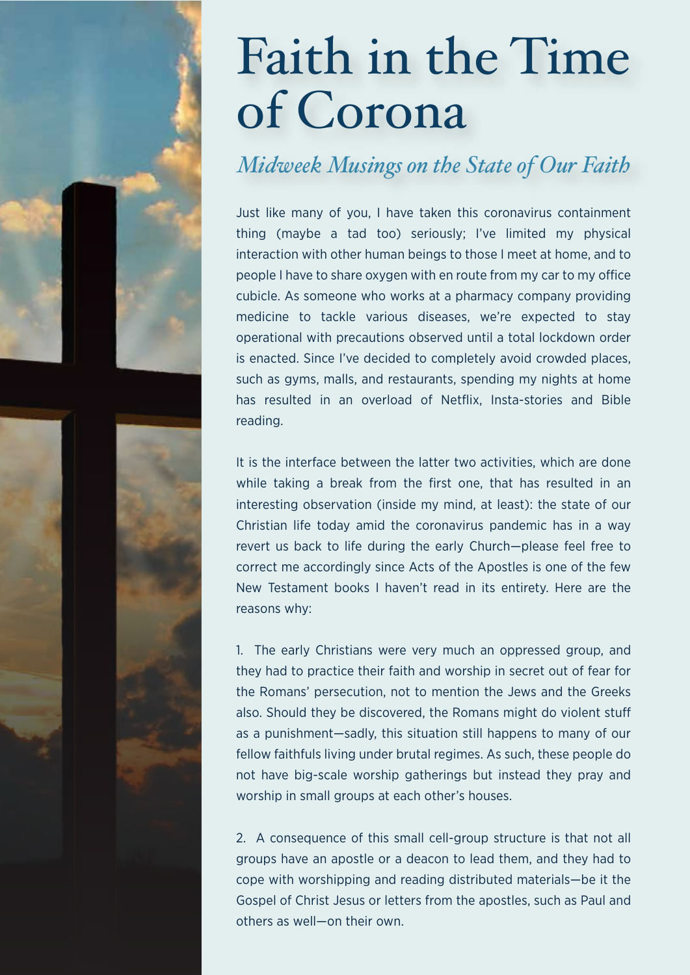# Faith in the Time of Corona

## *Midweek Musings on the State of Our Faith*

Just like many of you, I have taken this coronavirus containment thing (maybe a tad too) seriously; I've limited my physical interaction with other human beings to those I meet at home, and to people I have to share oxygen with en route from my car to my office cubicle. As someone who works at a pharmacy company providing medicine to tackle various diseases, we're expected to stay operational with precautions observed until a total lockdown order is enacted. Since I've decided to completely avoid crowded places, such as gyms, malls, and restaurants, spending my nights at home has resulted in an overload of Netflix, Insta-stories and Bible reading.

It is the interface between the latter two activities, which are done while taking a break from the first one, that has resulted in an interesting observation (inside my mind, at least): the state of our Christian life today amid the coronavirus pandemic has in a way revert us back to life during the early Church—please feel free to correct me accordingly since Acts of the Apostles is one of the few New Testament books I haven't read in its entirety. Here are the reasons why:

1. The early Christians were very much an oppressed group, and they had to practice their faith and worship in secret out of fear for the Romans' persecution, not to mention the Jews and the Greeks also. Should they be discovered, the Romans might do violent stu as a punishment—sadly, this situation still happens to many of our fellow faithfuls living under brutal regimes. As such, these people do not have big-scale worship gatherings but instead they pray and worship in small groups at each other's houses.

2. A consequence of this small cell-group structure is that not all groups have an apostle or a deacon to lead them, and they had to cope with worshipping and reading distributed materials—be it the Gospel of Christ Jesus or letters from the apostles, such as Paul and others as well—on their own.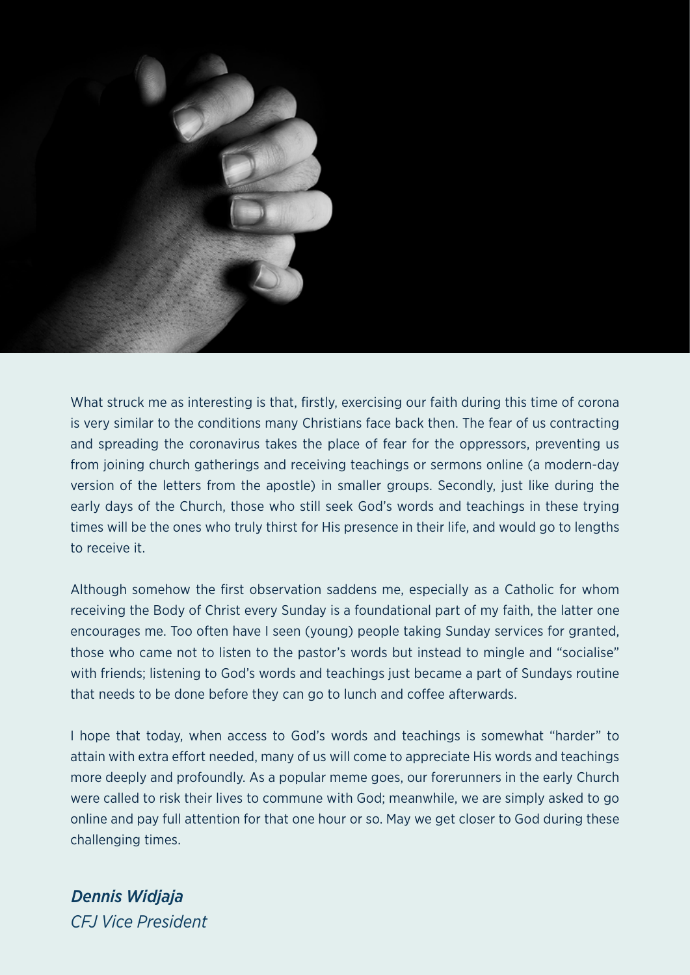

What struck me as interesting is that, firstly, exercising our faith during this time of corona is very similar to the conditions many Christians face back then. The fear of us contracting and spreading the coronavirus takes the place of fear for the oppressors, preventing us from joining church gatherings and receiving teachings or sermons online (a modern-day version of the letters from the apostle) in smaller groups. Secondly, just like during the early days of the Church, those who still seek God's words and teachings in these trying times will be the ones who truly thirst for His presence in their life, and would go to lengths to receive it.

Although somehow the first observation saddens me, especially as a Catholic for whom receiving the Body of Christ every Sunday is a foundational part of my faith, the latter one encourages me. Too often have I seen (young) people taking Sunday services for granted, those who came not to listen to the pastor's words but instead to mingle and "socialise" with friends; listening to God's words and teachings just became a part of Sundays routine that needs to be done before they can go to lunch and coffee afterwards.

I hope that today, when access to God's words and teachings is somewhat "harder" to attain with extra effort needed, many of us will come to appreciate His words and teachings more deeply and profoundly. As a popular meme goes, our forerunners in the early Church were called to risk their lives to commune with God; meanwhile, we are simply asked to go online and pay full attention for that one hour or so. May we get closer to God during these challenging times.

*CFJ Vice President Dennis Widjaja*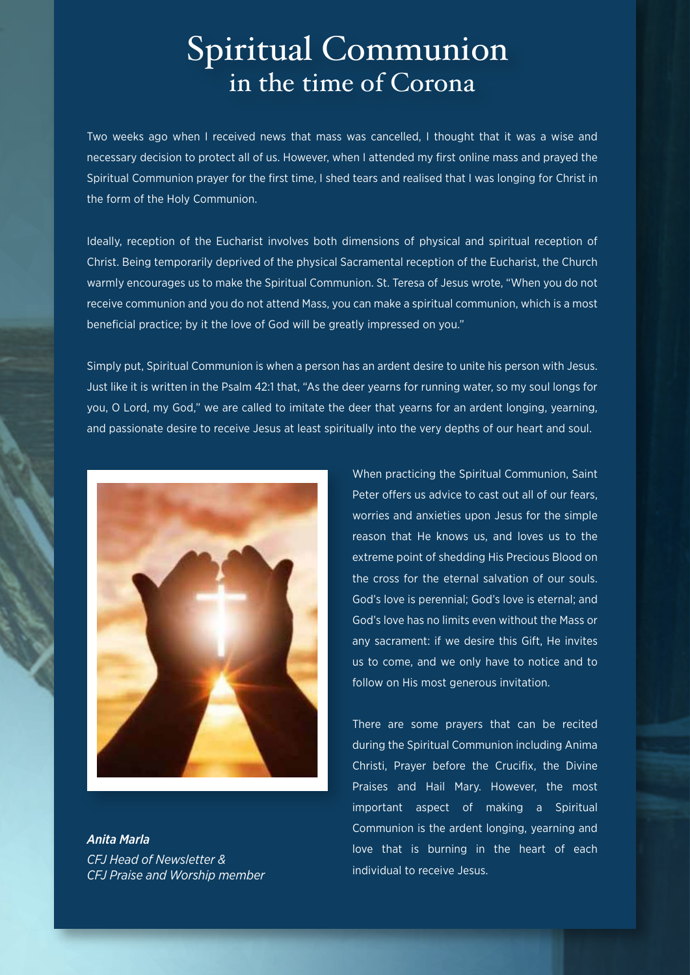## Spiritual Communion in the time of Corona

Two weeks ago when I received news that mass was cancelled, I thought that it was a wise and necessary decision to protect all of us. However, when I attended my first online mass and prayed the Spiritual Communion prayer for the first time, I shed tears and realised that I was longing for Christ in the form of the Holy Communion.

Ideally, reception of the Eucharist involves both dimensions of physical and spiritual reception of Christ. Being temporarily deprived of the physical Sacramental reception of the Eucharist, the Church warmly encourages us to make the Spiritual Communion. St. Teresa of Jesus wrote, "When you do not receive communion and you do not attend Mass, you can make a spiritual communion, which is a most beneficial practice; by it the love of God will be greatly impressed on you."

Simply put, Spiritual Communion is when a person has an ardent desire to unite his person with Jesus. Just like it is written in the Psalm 42:1 that, "As the deer yearns for running water, so my soul longs for you, O Lord, my God," we are called to imitate the deer that yearns for an ardent longing, yearning, and passionate desire to receive Jesus at least spiritually into the very depths of our heart and soul.



*CFJ Head of Newsletter & CFJ Praise and Worship member Anita Marla*

When practicing the Spiritual Communion, Saint Peter offers us advice to cast out all of our fears. worries and anxieties upon Jesus for the simple reason that He knows us, and loves us to the extreme point of shedding His Precious Blood on the cross for the eternal salvation of our souls. God's love is perennial; God's love is eternal; and God's love has no limits even without the Mass or any sacrament: if we desire this Gift, He invites us to come, and we only have to notice and to follow on His most generous invitation.

There are some prayers that can be recited during the Spiritual Communion including Anima Christi, Prayer before the Crucifix, the Divine Praises and Hail Mary. However, the most important aspect of making a Spiritual Communion is the ardent longing, yearning and love that is burning in the heart of each individual to receive Jesus.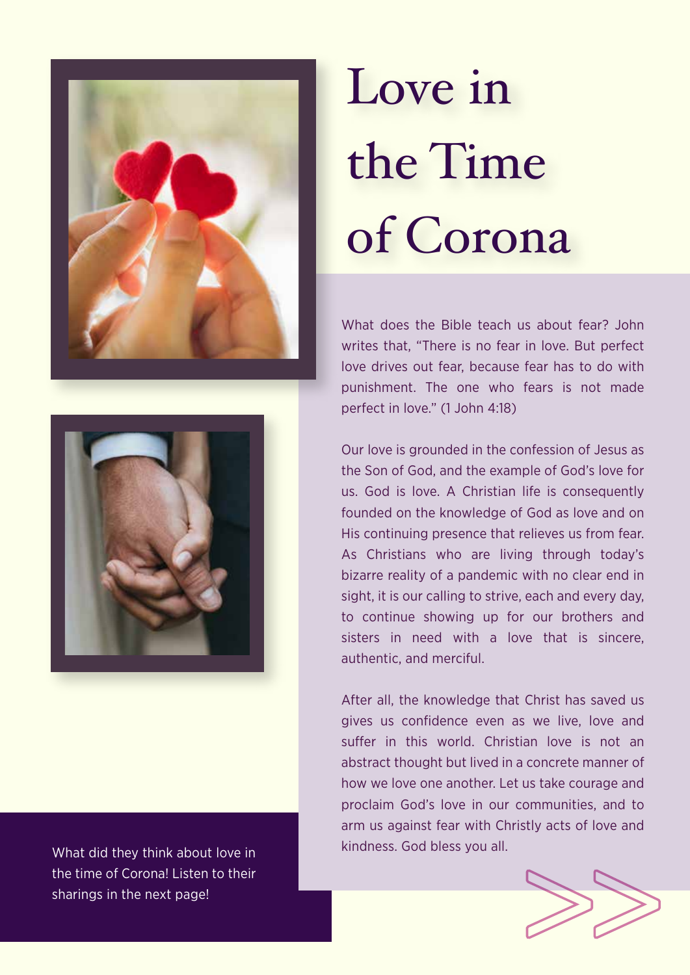



the time of Corona! Listen to their sharings in the next page!

# Love in the Time of Corona

What does the Bible teach us about fear? John writes that, "There is no fear in love. But perfect love drives out fear, because fear has to do with punishment. The one who fears is not made perfect in love." (1 John 4:18)

Our love is grounded in the confession of Jesus as the Son of God, and the example of God's love for us. God is love. A Christian life is consequently founded on the knowledge of God as love and on His continuing presence that relieves us from fear. As Christians who are living through today's bizarre reality of a pandemic with no clear end in sight, it is our calling to strive, each and every day, to continue showing up for our brothers and sisters in need with a love that is sincere, authentic, and merciful.

After all, the knowledge that Christ has saved us gives us confidence even as we live, love and suffer in this world. Christian love is not an abstract thought but lived in a concrete manner of how we love one another. Let us take courage and proclaim God's love in our communities, and to arm us against fear with Christly acts of love and What did they think about love in **What did they think about love in** What did they think about love in